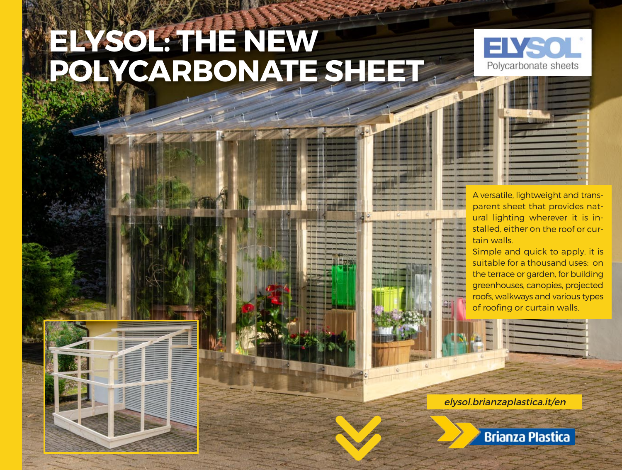# **ELYSOL: THE NEW POLYCARBONATE SHEET**



A versatile, lightweight and transparent sheet that provides natural lighting wherever it is installed, either on the roof or curtain walls.

Simple and quick to apply, it is suitable for a thousand uses: on the terrace or garden, for building greenhouses, canopies, projected roofs, walkways and various types of roofing or curtain walls.

elysol.brianzaplastica.it/en

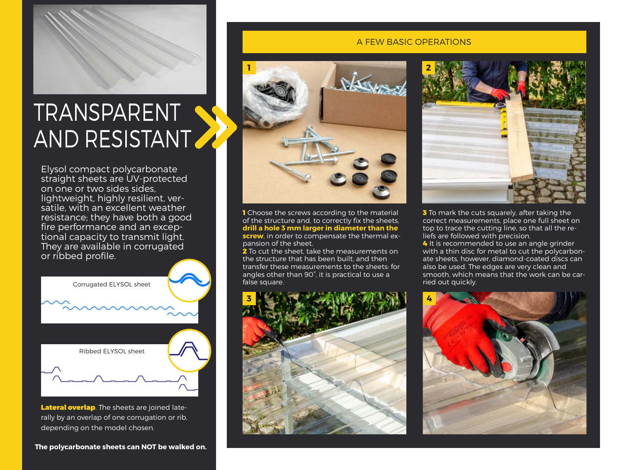

### TRANSPARENT AND RESISTANT

Elysol compact polycarbonate straight sheets are UV-protected on one or two sides sides, lightweight, highly resilient, versatile, with an excellent weather resistance; they have both a good fire performance and an exceptional capacity to transmit light. They are available in corrugated or ribbed profile.



Lateral overlap. The sheets are joined laterally by an overlap of one corrugation or rib, depending on the model chosen.

#### A FEW BASIC OPERATIONS



**1** Choose the screws according to the material of the structure and, to correctly fix the sheets, **drill a hole 3 mm larger in diameter than the screw**, in order to compensate the thermal expansion of the sheet.

2 To cut the sheet, take the measurements on the structure that has been built, and then transfer these measurements to the sheets: for angles other than 90°, it is practical to use a false square.



![](_page_1_Picture_11.jpeg)

**3** To mark the cuts squarely, after taking the correct measurements, place one full sheet on top to trace the cutting line, so that all the reliefs are followed with precision.

4 It is recommended to use an angle grinder with a thin disc for metal to cut the polycarbonate sheets, however, diamond-coated discs can also be used. The edges are very clean and smooth, which means that the work can be carried out quickly.

![](_page_1_Picture_14.jpeg)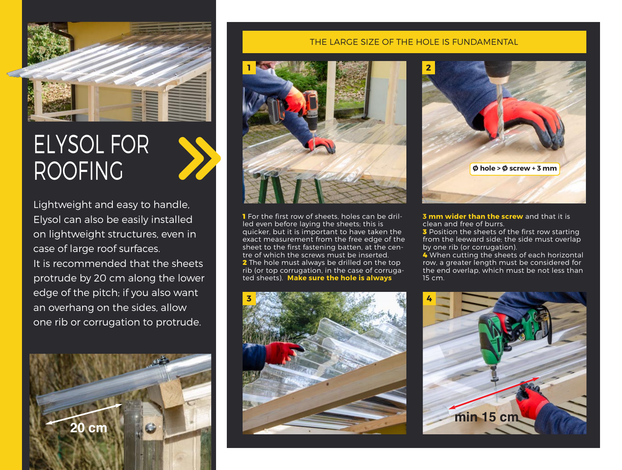![](_page_2_Picture_0.jpeg)

## ELYSOL FOR ROOFING

Lightweight and easy to handle, Elysol can also be easily installed on lightweight structures, even in case of large roof surfaces. It is recommended that the sheets protrude by 20 cm along the lower edge of the pitch; if you also want an overhang on the sides, allow one rib or corrugation to protrude.

![](_page_2_Picture_3.jpeg)

#### THE LARGE SIZE OF THE HOLE IS FUNDAMENTAL

![](_page_2_Picture_5.jpeg)

**1** For the first row of sheets, holes can be drilled even before laying the sheets; this is quicker, but it is important to have taken the exact measurement from the free edge of the sheet to the first fastening batten, at the centre of which the screws must be inserted. 2 The hole must always be drilled on the top rib (or top corrugation, in the case of corrugated sheets). **Make sure the hole is always** 

![](_page_2_Picture_7.jpeg)

![](_page_2_Picture_8.jpeg)

#### **3 mm wider than the screw** and that it is clean and free of burrs.

**3** Position the sheets of the first row starting from the leeward side; the side must overlap by one rib (or corrugation).

4 When cutting the sheets of each horizontal row, a greater length must be considered for the end overlap, which must be not less than 15 cm.

![](_page_2_Picture_12.jpeg)